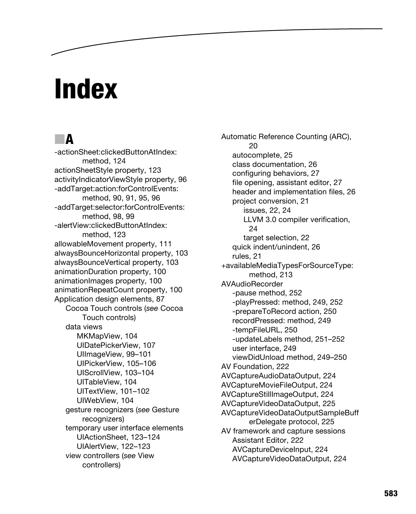# **Index**

# ■**A**

-actionSheet:clickedButtonAtIndex: method, 124 actionSheetStyle property, 123 activityIndicatorViewStyle property, 96 -addTarget:action:forControlEvents: method, 90, 91, 95, 96 -addTarget:selector:forControlEvents: method, 98, 99 -alertView:clickedButtonAtIndex: method, 123 allowableMovement property, 111 alwaysBounceHorizontal property, 103 alwaysBounceVertical property, 103 animationDuration property, 100 animationImages property, 100 animationRepeatCount property, 100 Application design elements, 87 Cocoa Touch controls (*see* Cocoa Touch controls) data views MKMapView, 104 UIDatePickerView, 107 UIImageView, 99–101 UIPickerView, 105–106 UIScrollView, 103–104 UITableView, 104 UITextView, 101–102 UIWebView, 104 gesture recognizers (*see* Gesture recognizers) temporary user interface elements UIActionSheet, 123–124 UIAlertView, 122–123 view controllers (*see* View controllers)

Automatic Reference Counting (ARC), 20 autocomplete, 25 class documentation, 26 configuring behaviors, 27 file opening, assistant editor, 27 header and implementation files, 26 project conversion, 21 issues, 22, 24 LLVM 3.0 compiler verification, 24 target selection, 22 quick indent/unindent, 26 rules, 21 +availableMediaTypesForSourceType: method, 213 AVAudioRecorder -pause method, 252 -playPressed: method, 249, 252 -prepareToRecord action, 250 recordPressed: method, 249 -tempFileURL, 250 -updateLabels method, 251–252 user interface, 249 viewDidUnload method, 249–250 AV Foundation, 222 AVCaptureAudioDataOutput, 224 AVCaptureMovieFileOutput, 224 AVCaptureStillImageOutput, 224 AVCaptureVideoDataOutput, 225 AVCaptureVideoDataOutputSampleBuff erDelegate protocol, 225 AV framework and capture sessions Assistant Editor, 222 AVCaptureDeviceInput, 224 AVCaptureVideoDataOutput, 224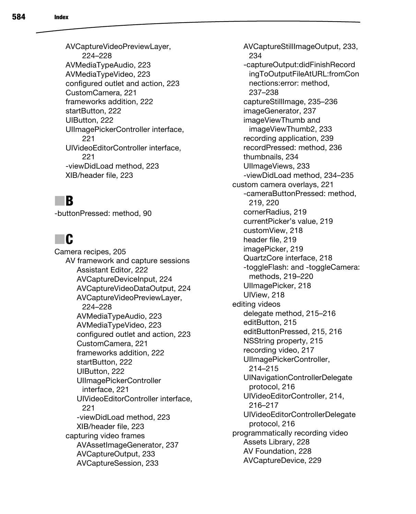AVCaptureVideoPreviewLayer, 224–228 AVMediaTypeAudio, 223 AVMediaTypeVideo, 223 configured outlet and action, 223 CustomCamera, 221 frameworks addition, 222 startButton, 222 UIButton, 222 UIImagePickerController interface, 221 UIVideoEditorController interface, 221 -viewDidLoad method, 223 XIB/header file, 223

#### ■**B**

-buttonPressed: method, 90

# ■**C**

Camera recipes, 205 AV framework and capture sessions Assistant Editor, 222 AVCaptureDeviceInput, 224 AVCaptureVideoDataOutput, 224 AVCaptureVideoPreviewLayer, 224–228 AVMediaTypeAudio, 223 AVMediaTypeVideo, 223 configured outlet and action, 223 CustomCamera, 221 frameworks addition, 222 startButton, 222 UIButton, 222 UIImagePickerController interface, 221 UIVideoEditorController interface, 221 -viewDidLoad method, 223 XIB/header file, 223 capturing video frames AVAssetImageGenerator, 237 AVCaptureOutput, 233 AVCaptureSession, 233

AVCaptureStillImageOutput, 233, 234 -captureOutput:didFinishRecord ingToOutputFileAtURL:fromCon nections:error: method, 237–238 captureStillImage, 235–236 imageGenerator, 237 imageViewThumb and imageViewThumb2, 233 recording application, 239 recordPressed: method, 236 thumbnails, 234 UIImageViews, 233 -viewDidLoad method, 234–235 custom camera overlays, 221 -cameraButtonPressed: method, 219, 220 cornerRadius, 219 currentPicker's value, 219 customView, 218 header file, 219 imagePicker, 219 QuartzCore interface, 218 -toggleFlash: and -toggleCamera: methods, 219–220 UIImagePicker, 218 UIView, 218 editing videos delegate method, 215–216 editButton, 215 editButtonPressed, 215, 216 NSString property, 215 recording video, 217 UIImagePickerController, 214–215 UINavigationControllerDelegate protocol, 216 UIVideoEditorController, 214, 216–217 UIVideoEditorControllerDelegate protocol, 216 programmatically recording video Assets Library, 228 AV Foundation, 228 AVCaptureDevice, 229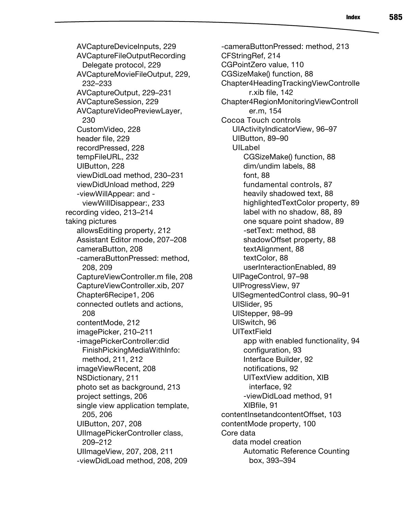AVCaptureDeviceInputs, 229 AVCaptureFileOutputRecording Delegate protocol, 229 AVCaptureMovieFileOutput, 229, 232–233 AVCaptureOutput, 229–231 AVCaptureSession, 229 AVCaptureVideoPreviewLayer, 230 CustomVideo, 228 header file, 229 recordPressed, 228 tempFileURL, 232 UIButton, 228 viewDidLoad method, 230–231 viewDidUnload method, 229 -viewWillAppear: and viewWillDisappear:, 233 recording video, 213–214 taking pictures allowsEditing property, 212 Assistant Editor mode, 207–208 cameraButton, 208 -cameraButtonPressed: method, 208, 209 CaptureViewController.m file, 208 CaptureViewController.xib, 207 Chapter6Recipe1, 206 connected outlets and actions, 208 contentMode, 212 imagePicker, 210–211 -imagePickerController:did FinishPickingMediaWithInfo: method, 211, 212 imageViewRecent, 208 NSDictionary, 211 photo set as background, 213 project settings, 206 single view application template, 205, 206 UIButton, 207, 208 UIImagePickerController class, 209–212 UIImageView, 207, 208, 211 -viewDidLoad method, 208, 209

-cameraButtonPressed: method, 213 CFStringRef, 214 CGPointZero value, 110 CGSizeMake() function, 88 Chapter4HeadingTrackingViewControlle r.xib file, 142 Chapter4RegionMonitoringViewControll er.m, 154 Cocoa Touch controls UIActivityIndicatorView, 96–97 UIButton, 89–90 UILabel CGSizeMake() function, 88 dim/undim labels, 88 font, 88 fundamental controls, 87 heavily shadowed text, 88 highlightedTextColor property, 89 label with no shadow, 88, 89 one square point shadow, 89 -setText: method, 88 shadowOffset property, 88 textAlignment, 88 textColor, 88 userInteractionEnabled, 89 UIPageControl, 97–98 UIProgressView, 97 UISegmentedControl class, 90–91 UISlider, 95 UIStepper, 98–99 UISwitch, 96 **UITextField** app with enabled functionality, 94 configuration, 93 Interface Builder, 92 notifications, 92 UITextView addition, XIB interface, 92 -viewDidLoad method, 91 XIBfile, 91 contentInsetandcontentOffset, 103 contentMode property, 100 Core data data model creation Automatic Reference Counting box, 393–394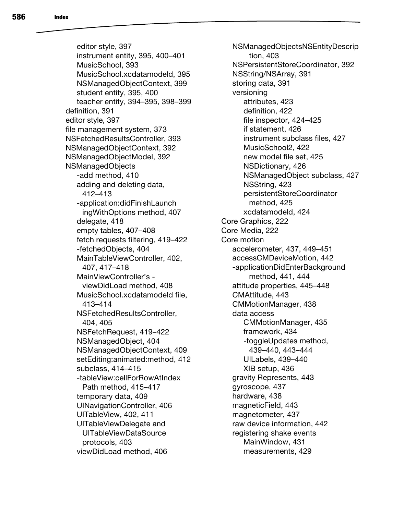editor style, 397 instrument entity, 395, 400–401 MusicSchool, 393 MusicSchool.xcdatamodeld, 395 NSManagedObjectContext, 399 student entity, 395, 400 teacher entity, 394–395, 398–399 definition, 391 editor style, 397 file management system, 373 NSFetchedResultsController, 393 NSManagedObjectContext, 392 NSManagedObjectModel, 392 NSManagedObjects -add method, 410 adding and deleting data, 412–413 -application:didFinishLaunch ingWithOptions method, 407 delegate, 418 empty tables, 407–408 fetch requests filtering, 419–422 -fetchedObjects, 404 MainTableViewController, 402, 407, 417–418 MainViewController's viewDidLoad method, 408 MusicSchool.xcdatamodeld file, 413–414 NSFetchedResultsController, 404, 405 NSFetchRequest, 419–422 NSManagedObject, 404 NSManagedObjectContext, 409 setEditing:animated:method, 412 subclass, 414–415 -tableView:cellForRowAtIndex Path method, 415–417 temporary data, 409 UINavigationController, 406 UITableView, 402, 411 UITableViewDelegate and UITableViewDataSource protocols, 403 viewDidLoad method, 406

NSManagedObjectsNSEntityDescrip tion, 403 NSPersistentStoreCoordinator, 392 NSString/NSArray, 391 storing data, 391 versioning attributes, 423 definition, 422 file inspector, 424–425 if statement, 426 instrument subclass files, 427 MusicSchool2, 422 new model file set, 425 NSDictionary, 426 NSManagedObject subclass, 427 NSString, 423 persistentStoreCoordinator method, 425 xcdatamodeld, 424 Core Graphics, 222 Core Media, 222 Core motion accelerometer, 437, 449–451 accessCMDeviceMotion, 442 -applicationDidEnterBackground method, 441, 444 attitude properties, 445–448 CMAttitude, 443 CMMotionManager, 438 data access CMMotionManager, 435 framework, 434 -toggleUpdates method, 439–440, 443–444 UILabels, 439–440 XIB setup, 436 gravity Represents, 443 gyroscope, 437 hardware, 438 magneticField, 443 magnetometer, 437 raw device information, 442 registering shake events MainWindow, 431 measurements, 429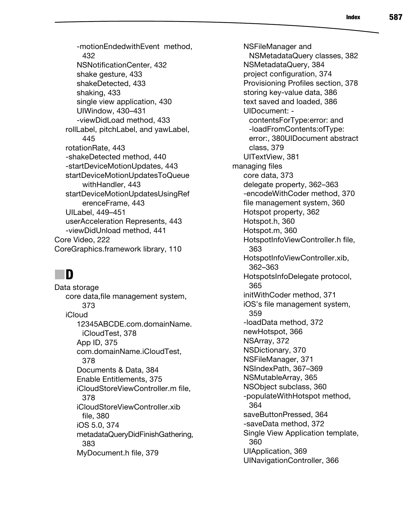-motionEndedwithEvent method, 432 NSNotificationCenter, 432 shake gesture, 433 shakeDetected, 433 shaking, 433 single view application, 430 UIWindow, 430–431 -viewDidLoad method, 433 rollLabel, pitchLabel, and yawLabel, 445 rotationRate, 443 -shakeDetected method, 440 -startDeviceMotionUpdates, 443 startDeviceMotionUpdatesToQueue withHandler, 443 startDeviceMotionUpdatesUsingRef erenceFrame, 443 UILabel, 449–451 userAcceleration Represents, 443 -viewDidUnload method, 441 Core Video, 222 CoreGraphics.framework library, 110

## ■**D**

Data storage core data,file management system, 373 iCloud 12345ABCDE.com.domainName. iCloudTest, 378 App ID, 375 com.domainName.iCloudTest, 378 Documents & Data, 384 Enable Entitlements, 375 iCloudStoreViewController.m file, 378 iCloudStoreViewController.xib file, 380 iOS 5.0, 374 metadataQueryDidFinishGathering, 383 MyDocument.h file, 379

NSFileManager and NSMetadataQuery classes, 382 NSMetadataQuery, 384 project configuration, 374 Provisioning Profiles section, 378 storing key-value data, 386 text saved and loaded, 386 UIDocument: contentsForType:error: and -loadFromContents:ofType: error:, 380UIDocument abstract class, 379 UITextView, 381 managing files core data, 373 delegate property, 362–363 -encodeWithCoder method, 370 file management system, 360 Hotspot property, 362 Hotspot.h, 360 Hotspot.m, 360 HotspotInfoViewController.h file, 363 HotspotInfoViewController.xib, 362–363 HotspotsInfoDelegate protocol, 365 initWithCoder method, 371 iOS's file management system, 359 -loadData method, 372 newHotspot, 366 NSArray, 372 NSDictionary, 370 NSFileManager, 371 NSIndexPath, 367–369 NSMutableArray, 365 NSObject subclass, 360 -populateWithHotspot method, 364 saveButtonPressed, 364 -saveData method, 372 Single View Application template, 360 UIApplication, 369 UINavigationController, 366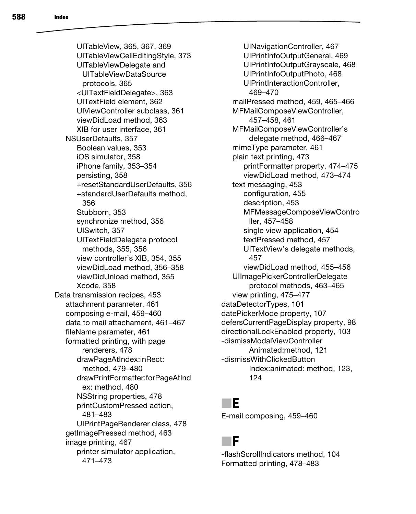UITableView, 365, 367, 369 UITableViewCellEditingStyle, 373 UITableViewDelegate and UITableViewDataSource protocols, 365 <UITextFieldDelegate>, 363 UITextField element, 362 UIViewController subclass, 361 viewDidLoad method, 363 XIB for user interface, 361 NSUserDefaults, 357 Boolean values, 353 iOS simulator, 358 iPhone family, 353–354 persisting, 358 +resetStandardUserDefaults, 356 +standardUserDefaults method, 356 Stubborn, 353 synchronize method, 356 UISwitch, 357 UITextFieldDelegate protocol methods, 355, 356 view controller's XIB, 354, 355 viewDidLoad method, 356–358 viewDidUnload method, 355 Xcode, 358 Data transmission recipes, 453 attachment parameter, 461 composing e-mail, 459–460 data to mail attachament, 461–467 fileName parameter, 461 formatted printing, with page renderers, 478 drawPageAtIndex:inRect: method, 479–480 drawPrintFormatter:forPageAtInd ex: method, 480 NSString properties, 478 printCustomPressed action, 481–483 UIPrintPageRenderer class, 478 getImagePressed method, 463 image printing, 467 printer simulator application,

471–473

UINavigationController, 467 UIPrintInfoOutputGeneral, 469 UIPrintInfoOutputGrayscale, 468 UIPrintInfoOutputPhoto, 468 UIPrintInteractionController, 469–470 mailPressed method, 459, 465–466 MFMailComposeViewController, 457–458, 461 MFMailComposeViewController's delegate method, 466–467 mimeType parameter, 461 plain text printing, 473 printFormatter property, 474–475 viewDidLoad method, 473–474 text messaging, 453 configuration, 455 description, 453 MFMessageComposeViewContro ller, 457–458 single view application, 454 textPressed method, 457 UITextView's delegate methods, 457 viewDidLoad method, 455–456 UIImagePickerControllerDelegate protocol methods, 463–465 view printing, 475–477 dataDetectorTypes, 101 datePickerMode property, 107 defersCurrentPageDisplay property, 98 directionalLockEnabled property, 103 -dismissModalViewController Animated:method, 121 -dismissWithClickedButton Index:animated: method, 123, 124

## ■**E**

E-mail composing, 459–460

# ■**F**

-flashScrollIndicators method, 104 Formatted printing, 478–483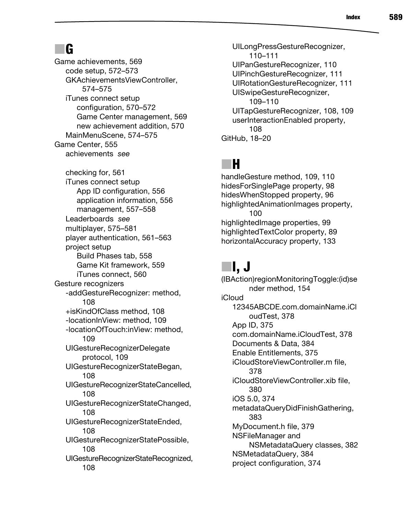# ■**G**

Game achievements, 569 code setup, 572–573 GKAchievementsViewController, 574–575 iTunes connect setup configuration, 570–572 Game Center management, 569 new achievement addition, 570 MainMenuScene, 574–575 Game Center, 555 achievements *see* checking for, 561 iTunes connect setup App ID configuration, 556 application information, 556 management, 557–558 Leaderboards *see* multiplayer, 575–581 player authentication, 561–563 project setup Build Phases tab, 558 Game Kit framework, 559 iTunes connect, 560 Gesture recognizers -addGestureRecognizer: method, 108 +isKindOfClass method, 108 -locationInView: method, 109 -locationOfTouch:inView: method, 109 UIGestureRecognizerDelegate protocol, 109 UIGestureRecognizerStateBegan, 108 UIGestureRecognizerStateCancelled, 108 UIGestureRecognizerStateChanged, 108 UIGestureRecognizerStateEnded, 108 UIGestureRecognizerStatePossible, 108 UIGestureRecognizerStateRecognized, 108

UILongPressGestureRecognizer, 110–111 UIPanGestureRecognizer, 110 UIPinchGestureRecognizer, 111 UIRotationGestureRecognizer, 111 UISwipeGestureRecognizer, 109–110 UITapGestureRecognizer, 108, 109 userInteractionEnabled property, 108 GitHub, 18–20

# ■**H**

handleGesture method, 109, 110 hidesForSinglePage property, 98 hidesWhenStopped property, 96 highlightedAnimationImages property, 100 highlightedImage properties, 99 highlightedTextColor property, 89 horizontalAccuracy property, 133

# ■**I, J**

(IBAction)regionMonitoringToggle:(id)se nder method, 154 iCloud 12345ABCDE.com.domainName.iCl oudTest, 378 App ID, 375 com.domainName.iCloudTest, 378 Documents & Data, 384 Enable Entitlements, 375 iCloudStoreViewController.m file, 378 iCloudStoreViewController.xib file, 380 iOS 5.0, 374 metadataQueryDidFinishGathering, 383 MyDocument.h file, 379 NSFileManager and NSMetadataQuery classes, 382 NSMetadataQuery, 384 project configuration, 374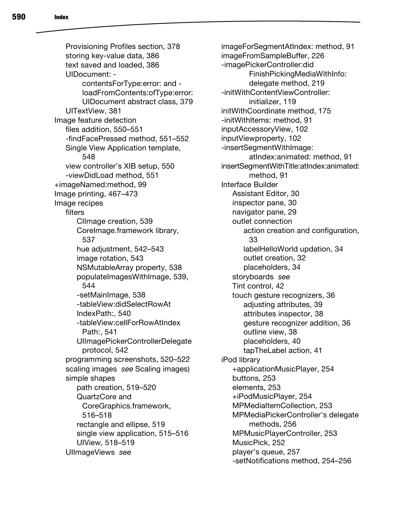Provisioning Profiles section, 378 storing key-value data, 386 text saved and loaded, 386 UIDocument: contentsForType:error: and loadFromContents:ofType:error: UIDocument abstract class, 379 UITextView, 381 Image feature detection files addition, 550–551 -findFacePressed method, 551–552 Single View Application template, 548 view controller's XIB setup, 550 -viewDidLoad method, 551 +imageNamed:method, 99 Image printing, 467–473 Image recipes filters CIImage creation, 539 CoreImage.framework library, 537 hue adjustment, 542–543 image rotation, 543 NSMutableArray property, 538 populateImagesWithImage, 539, 544 -setMainImage, 538 -tableView:didSelectRowAt IndexPath:, 540 -tableView:cellForRowAtIndex Path:, 541 UIImagePickerControllerDelegate protocol, 542 programming screenshots, 520–522 scaling images *see* Scaling images) simple shapes path creation, 519–520 QuartzCore and CoreGraphics.framework, 516–518 rectangle and ellipse, 519 single view application, 515–516 UIView, 518–519

UIImageViews *see*

imageForSegmentAtIndex: method, 91 imageFromSampleBuffer, 226 -imagePickerController:did FinishPickingMediaWithInfo: delegate method, 219 -initWithContentViewController: initializer, 119 initWithCoordinate method, 175 -initWithItems: method, 91 inputAccessoryView, 102 inputViewproperty, 102 -insertSegmentWithImage: atIndex:animated: method, 91 insertSegmentWithTitle:atIndex:animated: method, 91 Interface Builder Assistant Editor, 30 inspector pane, 30 navigator pane, 29 outlet connection action creation and configuration, 33 labelHelloWorld updation, 34 outlet creation, 32 placeholders, 34 storyboards *see* Tint control, 42 touch gesture recognizers, 36 adjusting attributes, 39 attributes inspector, 38 gesture recognizer addition, 36 outline view, 38 placeholders, 40 tapTheLabel action, 41 iPod library +applicationMusicPlayer, 254 buttons, 253 elements, 253 +iPodMusicPlayer, 254 MPMediaItemCollection, 253 MPMediaPickerController's delegate methods, 256 MPMusicPlayerController, 253 MusicPick, 252 player's queue, 257 -setNotifications method, 254–256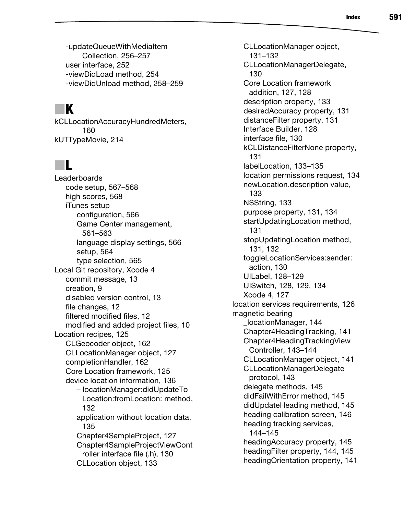-updateQueueWithMediaItem Collection, 256–257 user interface, 252 -viewDidLoad method, 254 -viewDidUnload method, 258–259

# ■ **K**

kCLLocationAccuracyHundredMeters, 160 kUTTypeMovie, 214

#### ■**L**

Leaderboards code setup, 567–568 high scores, 568 iTunes setup configuration, 566 Game Center management, 561–563 language display settings, 566 setup, 564 type selection, 565 Local Git repository, Xcode 4 commit message, 13 creation, 9 disabled version control, 13 file changes, 12 filtered modified files, 12 modified and added project files, 10 Location recipes, 125 CLGeocoder object, 162 CLLocationManager object, 127 completionHandler, 162 Core Location framework, 125 device location information, 136 – locationManager:didUpdateTo Location:fromLocation: method, 132 application without location data, 135 Chapter4SampleProject, 127 Chapter4SampleProjectViewCont roller interface file (.h), 130 CLLocation object, 133

CLLocationManager object, 131–132 CLLocationManagerDelegate, 130 Core Location framework addition, 127, 128 description property, 133 desiredAccuracy property, 131 distanceFilter property, 131 Interface Builder, 128 interface file, 130 kCLDistanceFilterNone property, 131 labelLocation, 133–135 location permissions request, 134 newLocation.description value, 133 NSString, 133 purpose property, 131, 134 startUpdatingLocation method, 131 stopUpdatingLocation method, 131, 132 toggleLocationServices:sender: action, 130 UILabel, 128–129 UISwitch, 128, 129, 134 Xcode 4, 127 location services requirements, 126 magnetic bearing \_locationManager, 144 Chapter4HeadingTracking, 141 Chapter4HeadingTrackingView Controller, 143–144 CLLocationManager object, 141 CLLocationManagerDelegate protocol, 143 delegate methods, 145 didFailWithError method, 145 didUpdateHeading method, 145 heading calibration screen, 146 heading tracking services, 144–145 headingAccuracy property, 145 headingFilter property, 144, 145 headingOrientation property, 141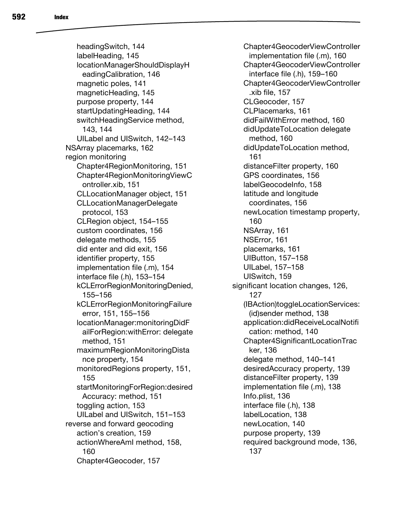headingSwitch, 144 labelHeading, 145 locationManagerShouldDisplayH eadingCalibration, 146 magnetic poles, 141 magneticHeading, 145 purpose property, 144 startUpdatingHeading, 144 switchHeadingService method, 143, 144 UILabel and UISwitch, 142–143 NSArray placemarks, 162 region monitoring Chapter4RegionMonitoring, 151 Chapter4RegionMonitoringViewC ontroller.xib, 151 CLLocationManager object, 151 CLLocationManagerDelegate protocol, 153 CLRegion object, 154–155 custom coordinates, 156 delegate methods, 155 did enter and did exit, 156 identifier property, 155 implementation file (.m), 154 interface file (.h), 153–154 kCLErrorRegionMonitoringDenied, 155–156 kCLErrorRegionMonitoringFailure error, 151, 155–156 locationManager:monitoringDidF ailForRegion:withError: delegate method, 151 maximumRegionMonitoringDista nce property, 154 monitoredRegions property, 151, 155 startMonitoringForRegion:desired Accuracy: method, 151 toggling action, 153 UILabel and UISwitch, 151–153 reverse and forward geocoding action's creation, 159 actionWhereAmI method, 158, 160 Chapter4Geocoder, 157

Chapter4GeocoderViewController implementation file (.m), 160 Chapter4GeocoderViewController interface file (.h), 159–160 Chapter4GeocoderViewController .xib file, 157 CLGeocoder, 157 CLPlacemarks, 161 didFailWithError method, 160 didUpdateToLocation delegate method, 160 didUpdateToLocation method, 161 distanceFilter property, 160 GPS coordinates, 156 labelGeocodeInfo, 158 latitude and longitude coordinates, 156 newLocation timestamp property, 160 NSArray, 161 NSError, 161 placemarks, 161 UIButton, 157–158 UILabel, 157–158 UISwitch, 159 significant location changes, 126, 127 (IBAction)toggleLocationServices: (id)sender method, 138 application:didReceiveLocalNotifi cation: method, 140 Chapter4SignificantLocationTrac ker, 136 delegate method, 140–141 desiredAccuracy property, 139 distanceFilter property, 139 implementation file (.m), 138 Info.plist, 136 interface file (.h), 138 labelLocation, 138 newLocation, 140 purpose property, 139 required background mode, 136, 137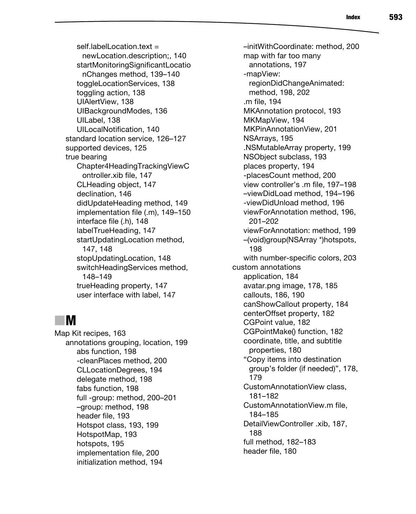self.labell ocation text  $=$ newLocation.description;, 140 startMonitoringSignificantLocatio nChanges method, 139–140 toggleLocationServices, 138 toggling action, 138 UIAlertView, 138 UIBackgroundModes, 136 UILabel, 138 UILocalNotification, 140 standard location service, 126–127 supported devices, 125 true bearing Chapter4HeadingTrackingViewC ontroller.xib file, 147 CLHeading object, 147 declination, 146 didUpdateHeading method, 149 implementation file (.m), 149–150 interface file (.h), 148 labelTrueHeading, 147 startUpdatingLocation method, 147, 148 stopUpdatingLocation, 148 switchHeadingServices method, 148–149 trueHeading property, 147 user interface with label, 147

#### ■**M**

Map Kit recipes, 163 annotations grouping, location, 199 abs function, 198 -cleanPlaces method, 200 CLLocationDegrees, 194 delegate method, 198 fabs function, 198 full -group: method, 200–201 –group: method, 198 header file, 193 Hotspot class, 193, 199 HotspotMap, 193 hotspots, 195 implementation file, 200 initialization method, 194

–initWithCoordinate: method, 200 map with far too many annotations, 197 -mapView: regionDidChangeAnimated: method, 198, 202 .m file, 194 MKAnnotation protocol, 193 MKMapView, 194 MKPinAnnotationView, 201 NSArrays, 195 .NSMutableArray property, 199 NSObject subclass, 193 places property, 194 -placesCount method, 200 view controller's .m file, 197–198 –viewDidLoad method, 194–196 -viewDidUnload method, 196 viewForAnnotation method, 196, 201–202 viewForAnnotation: method, 199 –(void)group(NSArray \*)hotspots, 198 with number-specific colors, 203 custom annotations application, 184 avatar.png image, 178, 185 callouts, 186, 190 canShowCallout property, 184 centerOffset property, 182 CGPoint value, 182 CGPointMake() function, 182 coordinate, title, and subtitle properties, 180 "Copy items into destination group's folder (if needed)", 178, 179 CustomAnnotationView class, 181–182 CustomAnnotationView.m file, 184–185 DetailViewController .xib, 187, 188 full method, 182–183 header file, 180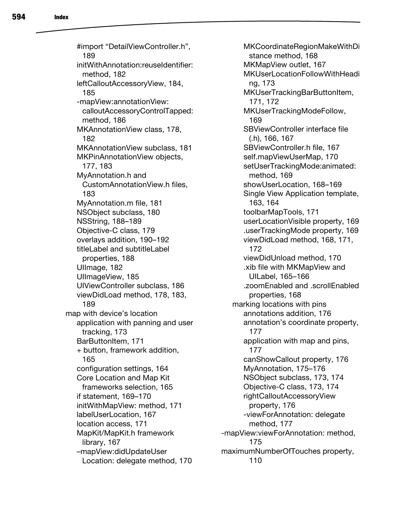#import "DetailViewController.h", 189 initWithAnnotation:reuseIdentifier: method, 182 leftCalloutAccessoryView, 184, 185 -mapView:annotationView: calloutAccessoryControlTapped: method, 186 MKAnnotationView class, 178, 182 MKAnnotationView subclass, 181 MKPinAnnotationView objects, 177, 183 MyAnnotation.h and CustomAnnotationView.h files, 183 MyAnnotation.m file, 181 NSObject subclass, 180 NSString, 188–189 Objective-C class, 179 overlays addition, 190–192 titleLabel and subtitleLabel properties, 188 Ullmage, 182 UIImageView, 185 UIViewController subclass, 186 viewDidLoad method, 178, 183, 189 map with device's location application with panning and user tracking, 173 BarButtonItem, 171 + button, framework addition, 165 configuration settings, 164 Core Location and Map Kit frameworks selection, 165 if statement, 169–170 initWithMapView: method, 171 labelUserLocation, 167 location access, 171 MapKit/MapKit.h framework library, 167 –mapView:didUpdateUser Location: delegate method, 170

MKCoordinateRegionMakeWithDi stance method, 168 MKMapView outlet, 167 MKUserLocationFollowWithHeadi ng, 173 MKUserTrackingBarButtonItem, 171, 172 MKUserTrackingModeFollow, 169 SBViewController interface file (.h), 166, 167 SBViewController.h file, 167 self.mapViewUserMap, 170 setUserTrackingMode:animated: method, 169 showUserLocation, 168–169 Single View Application template, 163, 164 toolbarMapTools, 171 userLocationVisible property, 169 .userTrackingMode property, 169 viewDidLoad method, 168, 171, 172 viewDidUnload method, 170 .xib file with MKMapView and UILabel, 165–166 .zoomEnabled and .scrollEnabled properties, 168 marking locations with pins annotations addition, 176 annotation's coordinate property, 177 application with map and pins, 177 canShowCallout property, 176 MyAnnotation, 175–176 NSObject subclass, 173, 174 Objective-C class, 173, 174 rightCalloutAccessoryView property, 176 -viewForAnnotation: delegate method, 177 -mapView:viewForAnnotation: method, 175 maximumNumberOfTouches property, 110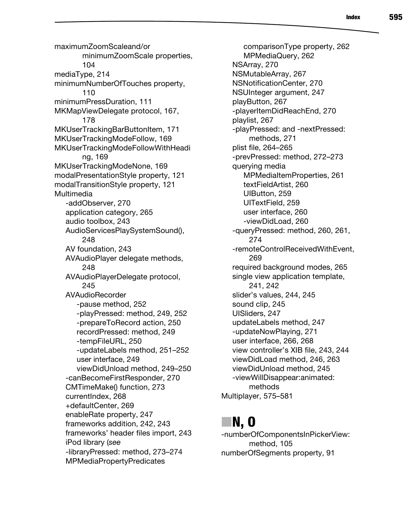maximumZoomScaleand/or minimumZoomScale properties, 104 mediaType, 214 minimumNumberOfTouches property, 110 minimumPressDuration, 111 MKMapViewDelegate protocol, 167, 178 MKUserTrackingBarButtonItem, 171 MKUserTrackingModeFollow, 169 MKUserTrackingModeFollowWithHeadi ng, 169 MKUserTrackingModeNone, 169 modalPresentationStyle property, 121 modalTransitionStyle property, 121 Multimedia -addObserver, 270 application category, 265 audio toolbox, 243 AudioServicesPlaySystemSound(), 248 AV foundation, 243 AVAudioPlayer delegate methods, 248 AVAudioPlayerDelegate protocol, 245 AVAudioRecorder -pause method, 252 -playPressed: method, 249, 252 -prepareToRecord action, 250 recordPressed: method, 249 -tempFileURL, 250 -updateLabels method, 251–252 user interface, 249 viewDidUnload method, 249–250 -canBecomeFirstResponder, 270 CMTimeMake() function, 273 currentIndex, 268 +defaultCenter, 269 enableRate property, 247 frameworks addition, 242, 243 frameworks' header files import, 243 iPod library (*see*  -libraryPressed: method, 273–274 MPMediaPropertyPredicates

comparisonType property, 262 MPMediaQuery, 262 NSArray, 270 NSMutableArray, 267 NSNotificationCenter, 270 NSUInteger argument, 247 playButton, 267 -playerItemDidReachEnd, 270 playlist, 267 -playPressed: and -nextPressed: methods, 271 plist file, 264–265 -prevPressed: method, 272–273 querying media MPMediaItemProperties, 261 textFieldArtist, 260 UIButton, 259 UITextField, 259 user interface, 260 -viewDidLoad, 260 -queryPressed: method, 260, 261, 274 -remoteControlReceivedWithEvent, 269 required background modes, 265 single view application template, 241, 242 slider's values, 244, 245 sound clip, 245 UISliders, 247 updateLabels method, 247 -updateNowPlaying, 271 user interface, 266, 268 view controller's XIB file, 243, 244 viewDidLoad method, 246, 263 viewDidUnload method, 245 -viewWillDisappear:animated: methods Multiplayer, 575–581

#### ■**N, O**

-numberOfComponentsInPickerView: method, 105 numberOfSegments property, 91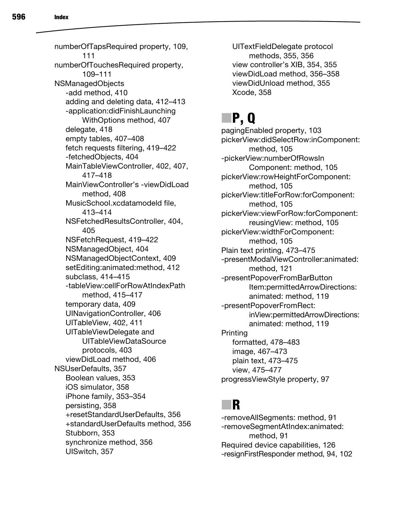numberOfTapsRequired property, 109, 111 numberOfTouchesRequired property, 109–111 NSManagedObjects -add method, 410 adding and deleting data, 412–413 -application:didFinishLaunching WithOptions method, 407 delegate, 418 empty tables, 407–408 fetch requests filtering, 419–422 -fetchedObjects, 404 MainTableViewController, 402, 407, 417–418 MainViewController's -viewDidLoad method, 408 MusicSchool.xcdatamodeld file, 413–414 NSFetchedResultsController, 404, 405 NSFetchRequest, 419–422 NSManagedObject, 404 NSManagedObjectContext, 409 setEditing:animated:method, 412 subclass, 414–415 -tableView:cellForRowAtIndexPath method, 415–417 temporary data, 409 UINavigationController, 406 UITableView, 402, 411 UITableViewDelegate and UITableViewDataSource protocols, 403 viewDidLoad method, 406 NSUserDefaults, 357 Boolean values, 353 iOS simulator, 358 iPhone family, 353–354 persisting, 358 +resetStandardUserDefaults, 356

+standardUserDefaults method, 356 Stubborn, 353 synchronize method, 356 UISwitch, 357

UITextFieldDelegate protocol methods, 355, 356 view controller's XIB, 354, 355 viewDidLoad method, 356–358 viewDidUnload method, 355 Xcode, 358

# ■**P, Q**

pagingEnabled property, 103 pickerView:didSelectRow:inComponent: method, 105 -pickerView:numberOfRowsIn Component: method, 105 pickerView:rowHeightForComponent: method, 105 pickerView:titleForRow:forComponent: method, 105 pickerView:viewForRow:forComponent: reusingView: method, 105 pickerView:widthForComponent: method, 105 Plain text printing, 473–475 -presentModalViewController:animated: method, 121 -presentPopoverFromBarButton Item:permittedArrowDirections: animated: method, 119 -presentPopoverFromRect: inView:permittedArrowDirections: animated: method, 119 Printing formatted, 478–483 image, 467–473 plain text, 473–475 view, 475–477 progressViewStyle property, 97

## ■**R**

-removeAllSegments: method, 91 -removeSegmentAtIndex:animated: method, 91 Required device capabilities, 126 -resignFirstResponder method, 94, 102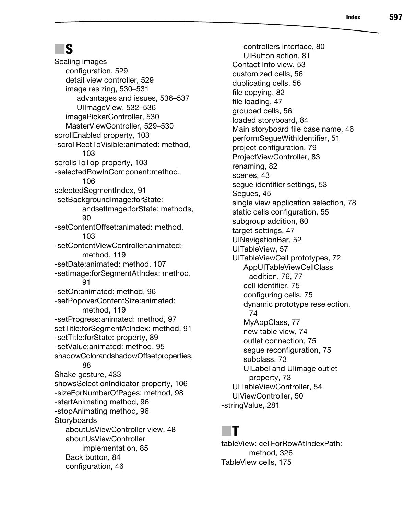## ■**S**

Scaling images configuration, 529 detail view controller, 529 image resizing, 530–531 advantages and issues, 536–537 UIImageView, 532–536 imagePickerController, 530 MasterViewController, 529–530 scrollEnabled property, 103 -scrollRectToVisible:animated: method, 103 scrollsToTop property, 103 -selectedRowInComponent:method, 106 selectedSegmentIndex, 91 -setBackgroundImage:forState: andsetImage:forState: methods, 90 -setContentOffset:animated: method, 103 -setContentViewController:animated: method, 119 -setDate:animated: method, 107 -setImage:forSegmentAtIndex: method, 91 -setOn:animated: method, 96 -setPopoverContentSize:animated: method, 119 -setProgress:animated: method, 97 setTitle:forSegmentAtIndex: method, 91 -setTitle:forState: property, 89 -setValue:animated: method, 95 shadowColorandshadowOffsetproperties, 88 Shake gesture, 433 showsSelectionIndicator property, 106 -sizeForNumberOfPages: method, 98 -startAnimating method, 96 -stopAnimating method, 96 **Storyboards** aboutUsViewController view, 48 aboutUsViewController implementation, 85 Back button, 84 configuration, 46

controllers interface, 80 UIButton action, 81 Contact Info view, 53 customized cells, 56 duplicating cells, 56 file copying, 82 file loading, 47 grouped cells, 56 loaded storyboard, 84 Main storyboard file base name, 46 performSegueWithIdentifier, 51 project configuration, 79 ProjectViewController, 83 renaming, 82 scenes, 43 segue identifier settings, 53 Segues, 45 single view application selection, 78 static cells configuration, 55 subgroup addition, 80 target settings, 47 UINavigationBar, 52 UITableView, 57 UITableViewCell prototypes, 72 AppUITableViewCellClass addition, 76, 77 cell identifier, 75 configuring cells, 75 dynamic prototype reselection, 74 MyAppClass, 77 new table view, 74 outlet connection, 75 segue reconfiguration, 75 subclass, 73 UILabel and UIimage outlet property, 73 UITableViewController, 54 UIViewController, 50 -stringValue, 281

#### ■**T**

tableView: cellForRowAtIndexPath: method, 326 TableView cells, 175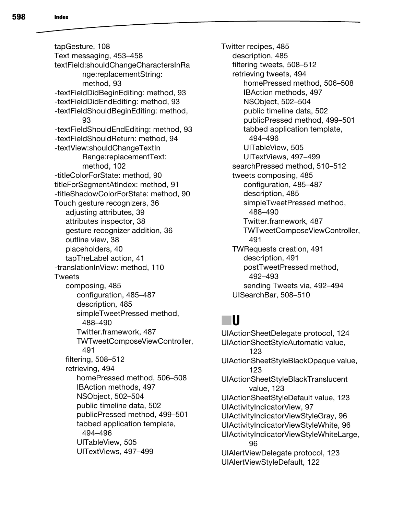tapGesture, 108 Text messaging, 453–458 textField:shouldChangeCharactersInRa nge:replacementString: method, 93 -textFieldDidBeginEditing: method, 93 -textFieldDidEndEditing: method, 93 -textFieldShouldBeginEditing: method, 93 -textFieldShouldEndEditing: method, 93 -textFieldShouldReturn: method, 94 -textView:shouldChangeTextIn Range:replacementText: method, 102 -titleColorForState: method, 90 titleForSegmentAtIndex: method, 91 -titleShadowColorForState: method, 90 Touch gesture recognizers, 36 adiusting attributes, 39 attributes inspector, 38 gesture recognizer addition, 36 outline view, 38 placeholders, 40 tapTheLabel action, 41 -translationInView: method, 110 Tweets composing, 485 configuration, 485–487 description, 485 simpleTweetPressed method, 488–490 Twitter.framework, 487 TWTweetComposeViewController, 491 filtering, 508–512 retrieving, 494 homePressed method, 506–508 IBAction methods, 497 NSObject, 502–504 public timeline data, 502 publicPressed method, 499–501 tabbed application template, 494–496 UITableView, 505 UITextViews, 497–499

Twitter recipes, 485 description, 485 filtering tweets, 508–512 retrieving tweets, 494 homePressed method, 506–508 IBAction methods, 497 NSObject, 502–504 public timeline data, 502 publicPressed method, 499–501 tabbed application template, 494–496 UITableView, 505 UITextViews, 497–499 searchPressed method, 510–512 tweets composing, 485 configuration, 485–487 description, 485 simpleTweetPressed method, 488–490 Twitter.framework, 487 TWTweetComposeViewController, 491 TWRequests creation, 491 description, 491 postTweetPressed method, 492–493 sending Tweets via, 492–494 UISearchBar, 508–510

# ■**U**

UIActionSheetDelegate protocol, 124 UIActionSheetStyleAutomatic value, 123 UIActionSheetStyleBlackOpaque value, 123 UIActionSheetStyleBlackTranslucent value, 123 UIActionSheetStyleDefault value, 123 UIActivityIndicatorView, 97 UIActivityIndicatorViewStyleGray, 96 UIActivityIndicatorViewStyleWhite, 96 UIActivityIndicatorViewStyleWhiteLarge, 96 UIAlertViewDelegate protocol, 123 UIAlertViewStyleDefault, 122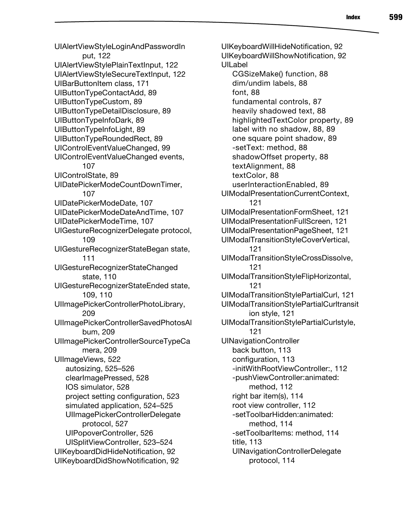UIAlertViewStyleLoginAndPasswordIn put, 122 UIAlertViewStylePlainTextInput, 122 UIAlertViewStyleSecureTextInput, 122 UIBarButtonItem class, 171 UIButtonTypeContactAdd, 89 UIButtonTypeCustom, 89 UIButtonTypeDetailDisclosure, 89 UIButtonTypeInfoDark, 89 UIButtonTypeInfoLight, 89 UIButtonTypeRoundedRect, 89 UIControlEventValueChanged, 99 UIControlEventValueChanged events, 107 UIControlState, 89 UIDatePickerModeCountDownTimer, 107 UIDatePickerModeDate, 107 UIDatePickerModeDateAndTime, 107 UIDatePickerModeTime, 107 UIGestureRecognizerDelegate protocol, 109 UIGestureRecognizerStateBegan state, 111 UIGestureRecognizerStateChanged state, 110 UIGestureRecognizerStateEnded state, 109, 110 UIImagePickerControllerPhotoLibrary, 209 UIImagePickerControllerSavedPhotosAl bum, 209 UIImagePickerControllerSourceTypeCa mera, 209 UIImageViews, 522 autosizing, 525–526 clearImagePressed, 528 IOS simulator, 528 project setting configuration, 523 simulated application, 524–525 UIImagePickerControllerDelegate protocol, 527 UIPopoverController, 526 UISplitViewController, 523–524 UIKeyboardDidHideNotification, 92 UIKeyboardDidShowNotification, 92

UIKeyboardWillHideNotification, 92 UIKeyboardWillShowNotification, 92 UILabel CGSizeMake() function, 88 dim/undim labels, 88 font, 88 fundamental controls, 87 heavily shadowed text, 88 highlightedTextColor property, 89 label with no shadow, 88, 89 one square point shadow, 89 -setText: method, 88 shadowOffset property, 88 textAlignment, 88 textColor, 88 userInteractionEnabled, 89 UIModalPresentationCurrentContext, 121 UIModalPresentationFormSheet, 121 UIModalPresentationFullScreen, 121 UIModalPresentationPageSheet, 121 UIModalTransitionStyleCoverVertical, 121 UIModalTransitionStyleCrossDissolve, 121 UIModalTransitionStyleFlipHorizontal, 121 UIModalTransitionStylePartialCurl, 121 UIModalTransitionStylePartialCurltransit ion style, 121 UIModalTransitionStylePartialCurlstyle, 121 UINavigationController back button, 113 configuration, 113 -initWithRootViewController:, 112 -pushViewController:animated: method, 112 right bar item(s), 114 root view controller, 112 -setToolbarHidden:animated: method, 114 -setToolbarItems: method, 114 title, 113 UINavigationControllerDelegate protocol, 114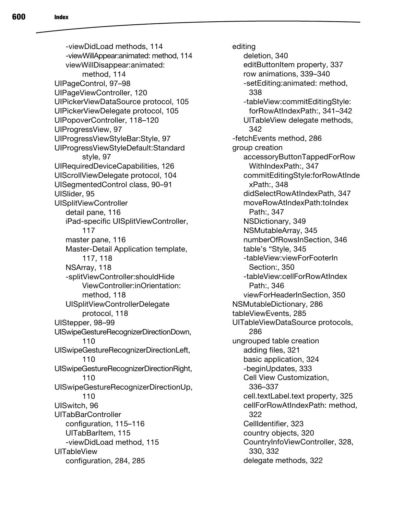-viewDidLoad methods, 114 -viewWillAppear:animated: method, 114 viewWillDisappear:animated: method, 114 UIPageControl, 97–98 UIPageViewController, 120 UIPickerViewDataSource protocol, 105 UIPickerViewDelegate protocol, 105 UIPopoverController, 118–120 UIProgressView, 97 UIProgressViewStyleBar:Style, 97 UIProgressViewStyleDefault:Standard style, 97 UIRequiredDeviceCapabilities, 126 UIScrollViewDelegate protocol, 104 UISegmentedControl class, 90–91 UISlider, 95 UISplitViewController detail pane, 116 iPad-specific UISplitViewController, 117 master pane, 116 Master-Detail Application template, 117, 118 NSArray, 118 -splitViewController:shouldHide ViewController:inOrientation: method, 118 UISplitViewControllerDelegate protocol, 118 UIStepper, 98–99 UISwipeGestureRecognizerDirectionDown, 110 UISwipeGestureRecognizerDirectionLeft, 110 UISwipeGestureRecognizerDirectionRight, 110 UISwipeGestureRecognizerDirectionUp, 110 UISwitch, 96 UITabBarController configuration, 115–116 UITabBarItem, 115 -viewDidLoad method, 115 UITableView configuration, 284, 285

editing deletion, 340 editButtonItem property, 337 row animations, 339–340 -setEditing:animated: method, 338 -tableView:commitEditingStyle: forRowAtIndexPath:, 341–342 UITableView delegate methods, 342 -fetchEvents method, 286 group creation accessoryButtonTappedForRow WithIndexPath:, 347 commitEditingStyle:forRowAtInde xPath:, 348 didSelectRowAtIndexPath, 347 moveRowAtIndexPath:toIndex Path:, 347 NSDictionary, 349 NSMutableArray, 345 numberOfRowsInSection, 346 table's "Style, 345 -tableView:viewForFooterIn Section:, 350 -tableView:cellForRowAtIndex Path:, 346 viewForHeaderInSection, 350 NSMutableDictionary, 286 tableViewEvents, 285 UITableViewDataSource protocols, 286 ungrouped table creation adding files, 321 basic application, 324 -beginUpdates, 333 Cell View Customization, 336–337 cell.textLabel.text property, 325 cellForRowAtIndexPath: method, 322 CellIdentifier, 323 country objects, 320 CountryInfoViewController, 328, 330, 332 delegate methods, 322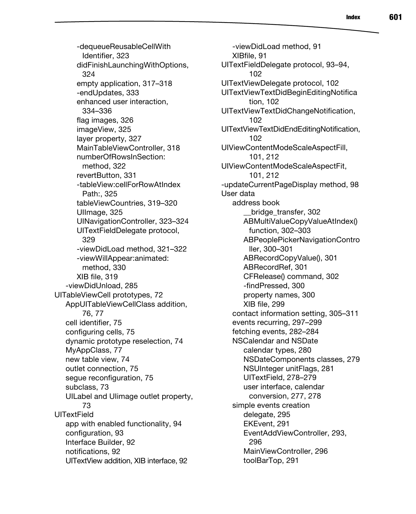-dequeueReusableCellWith Identifier, 323 didFinishLaunchingWithOptions, 324 empty application, 317–318 -endUpdates, 333 enhanced user interaction, 334–336 flag images, 326 imageView, 325 layer property, 327 MainTableViewController, 318 numberOfRowsInSection: method, 322 revertButton, 331 -tableView:cellForRowAtIndex Path:, 325 tableViewCountries, 319–320 Ullmage, 325 UINavigationController, 323–324 UITextFieldDelegate protocol, 329 -viewDidLoad method, 321–322 -viewWillAppear:animated: method, 330 XIB file, 319 -viewDidUnload, 285 UITableViewCell prototypes, 72 AppUITableViewCellClass addition, 76, 77 cell identifier, 75 configuring cells, 75 dynamic prototype reselection, 74 MyAppClass, 77 new table view, 74 outlet connection, 75 segue reconfiguration, 75 subclass, 73 UILabel and UIimage outlet property, 73 **UITextField** app with enabled functionality, 94 configuration, 93 Interface Builder, 92 notifications, 92 UITextView addition, XIB interface, 92

-viewDidLoad method, 91 XIBfile, 91 UITextFieldDelegate protocol, 93–94, 102 UITextViewDelegate protocol, 102 UITextViewTextDidBeginEditingNotifica tion, 102 UITextViewTextDidChangeNotification, 102 UITextViewTextDidEndEditingNotification, 102 UIViewContentModeScaleAspectFill, 101, 212 UIViewContentModeScaleAspectFit, 101, 212 -updateCurrentPageDisplay method, 98 User data address book \_\_bridge\_transfer, 302 ABMultiValueCopyValueAtIndex() function, 302–303 ABPeoplePickerNavigationContro ller, 300–301 ABRecordCopyValue(), 301 ABRecordRef, 301 CFRelease() command, 302 -findPressed, 300 property names, 300 XIB file, 299 contact information setting, 305–311 events recurring, 297–299 fetching events, 282–284 NSCalendar and NSDate calendar types, 280 NSDateComponents classes, 279 NSUInteger unitFlags, 281 UITextField, 278–279 user interface, calendar conversion, 277, 278 simple events creation delegate, 295 EKEvent, 291 EventAddViewController, 293, 296 MainViewController, 296 toolBarTop, 291